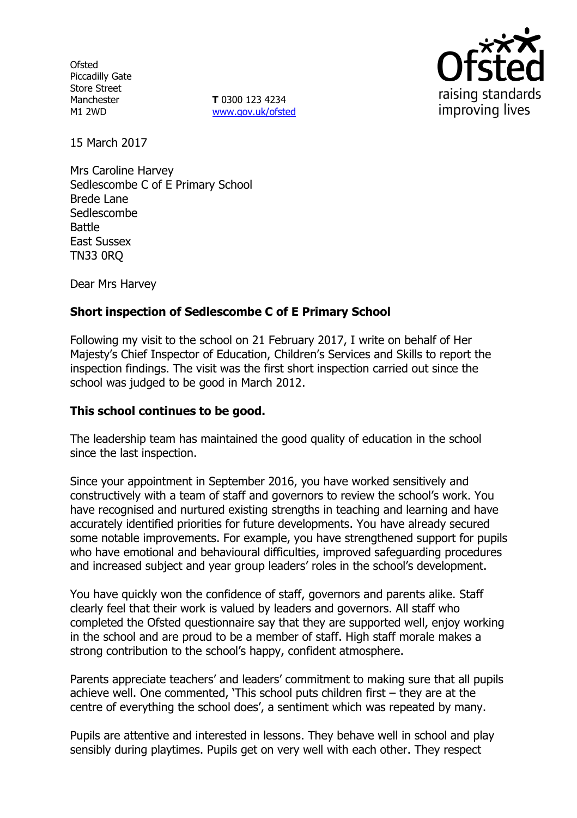**Ofsted** Piccadilly Gate Store Street Manchester M1 2WD

**T** 0300 123 4234 [www.gov.uk/ofsted](http://www.gov.uk/ofsted)



15 March 2017

Mrs Caroline Harvey Sedlescombe C of E Primary School Brede Lane **Sedlescombe** Battle East Sussex TN33 0RQ

Dear Mrs Harvey

## **Short inspection of Sedlescombe C of E Primary School**

Following my visit to the school on 21 February 2017, I write on behalf of Her Majesty's Chief Inspector of Education, Children's Services and Skills to report the inspection findings. The visit was the first short inspection carried out since the school was judged to be good in March 2012.

### **This school continues to be good.**

The leadership team has maintained the good quality of education in the school since the last inspection.

Since your appointment in September 2016, you have worked sensitively and constructively with a team of staff and governors to review the school's work. You have recognised and nurtured existing strengths in teaching and learning and have accurately identified priorities for future developments. You have already secured some notable improvements. For example, you have strengthened support for pupils who have emotional and behavioural difficulties, improved safeguarding procedures and increased subject and year group leaders' roles in the school's development.

You have quickly won the confidence of staff, governors and parents alike. Staff clearly feel that their work is valued by leaders and governors. All staff who completed the Ofsted questionnaire say that they are supported well, enjoy working in the school and are proud to be a member of staff. High staff morale makes a strong contribution to the school's happy, confident atmosphere.

Parents appreciate teachers' and leaders' commitment to making sure that all pupils achieve well. One commented, 'This school puts children first – they are at the centre of everything the school does', a sentiment which was repeated by many.

Pupils are attentive and interested in lessons. They behave well in school and play sensibly during playtimes. Pupils get on very well with each other. They respect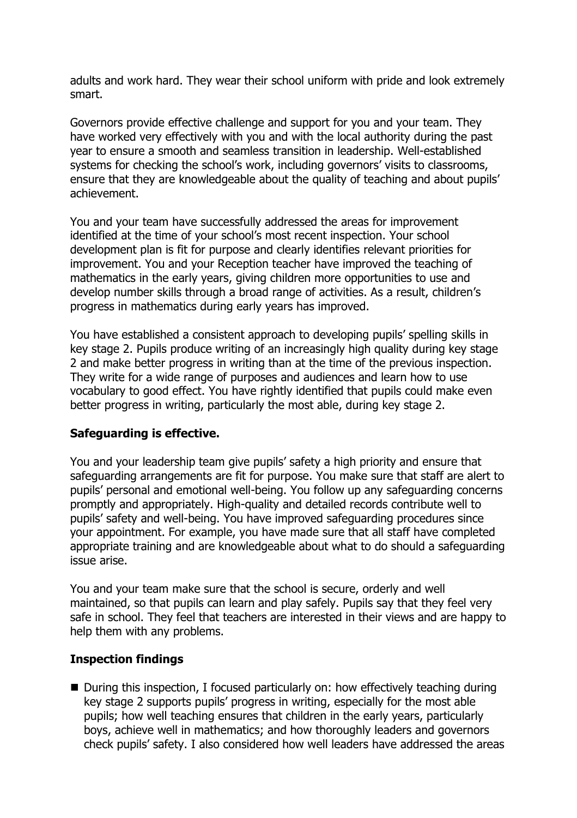adults and work hard. They wear their school uniform with pride and look extremely smart.

Governors provide effective challenge and support for you and your team. They have worked very effectively with you and with the local authority during the past year to ensure a smooth and seamless transition in leadership. Well-established systems for checking the school's work, including governors' visits to classrooms, ensure that they are knowledgeable about the quality of teaching and about pupils' achievement.

You and your team have successfully addressed the areas for improvement identified at the time of your school's most recent inspection. Your school development plan is fit for purpose and clearly identifies relevant priorities for improvement. You and your Reception teacher have improved the teaching of mathematics in the early years, giving children more opportunities to use and develop number skills through a broad range of activities. As a result, children's progress in mathematics during early years has improved.

You have established a consistent approach to developing pupils' spelling skills in key stage 2. Pupils produce writing of an increasingly high quality during key stage 2 and make better progress in writing than at the time of the previous inspection. They write for a wide range of purposes and audiences and learn how to use vocabulary to good effect. You have rightly identified that pupils could make even better progress in writing, particularly the most able, during key stage 2.

# **Safeguarding is effective.**

You and your leadership team give pupils' safety a high priority and ensure that safeguarding arrangements are fit for purpose. You make sure that staff are alert to pupils' personal and emotional well-being. You follow up any safeguarding concerns promptly and appropriately. High-quality and detailed records contribute well to pupils' safety and well-being. You have improved safeguarding procedures since your appointment. For example, you have made sure that all staff have completed appropriate training and are knowledgeable about what to do should a safeguarding issue arise.

You and your team make sure that the school is secure, orderly and well maintained, so that pupils can learn and play safely. Pupils say that they feel very safe in school. They feel that teachers are interested in their views and are happy to help them with any problems.

### **Inspection findings**

■ During this inspection, I focused particularly on: how effectively teaching during key stage 2 supports pupils' progress in writing, especially for the most able pupils; how well teaching ensures that children in the early years, particularly boys, achieve well in mathematics; and how thoroughly leaders and governors check pupils' safety. I also considered how well leaders have addressed the areas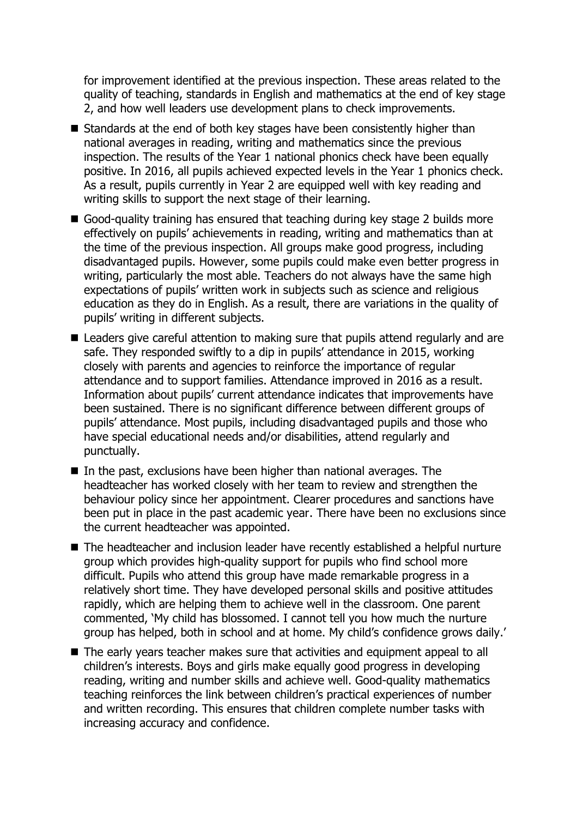for improvement identified at the previous inspection. These areas related to the quality of teaching, standards in English and mathematics at the end of key stage 2, and how well leaders use development plans to check improvements.

- Standards at the end of both key stages have been consistently higher than national averages in reading, writing and mathematics since the previous inspection. The results of the Year 1 national phonics check have been equally positive. In 2016, all pupils achieved expected levels in the Year 1 phonics check. As a result, pupils currently in Year 2 are equipped well with key reading and writing skills to support the next stage of their learning.
- Good-quality training has ensured that teaching during key stage 2 builds more effectively on pupils' achievements in reading, writing and mathematics than at the time of the previous inspection. All groups make good progress, including disadvantaged pupils. However, some pupils could make even better progress in writing, particularly the most able. Teachers do not always have the same high expectations of pupils' written work in subjects such as science and religious education as they do in English. As a result, there are variations in the quality of pupils' writing in different subjects.
- Leaders give careful attention to making sure that pupils attend regularly and are safe. They responded swiftly to a dip in pupils' attendance in 2015, working closely with parents and agencies to reinforce the importance of regular attendance and to support families. Attendance improved in 2016 as a result. Information about pupils' current attendance indicates that improvements have been sustained. There is no significant difference between different groups of pupils' attendance. Most pupils, including disadvantaged pupils and those who have special educational needs and/or disabilities, attend regularly and punctually.
- $\blacksquare$  In the past, exclusions have been higher than national averages. The headteacher has worked closely with her team to review and strengthen the behaviour policy since her appointment. Clearer procedures and sanctions have been put in place in the past academic year. There have been no exclusions since the current headteacher was appointed.
- The headteacher and inclusion leader have recently established a helpful nurture group which provides high-quality support for pupils who find school more difficult. Pupils who attend this group have made remarkable progress in a relatively short time. They have developed personal skills and positive attitudes rapidly, which are helping them to achieve well in the classroom. One parent commented, 'My child has blossomed. I cannot tell you how much the nurture group has helped, both in school and at home. My child's confidence grows daily.'
- The early years teacher makes sure that activities and equipment appeal to all children's interests. Boys and girls make equally good progress in developing reading, writing and number skills and achieve well. Good-quality mathematics teaching reinforces the link between children's practical experiences of number and written recording. This ensures that children complete number tasks with increasing accuracy and confidence.